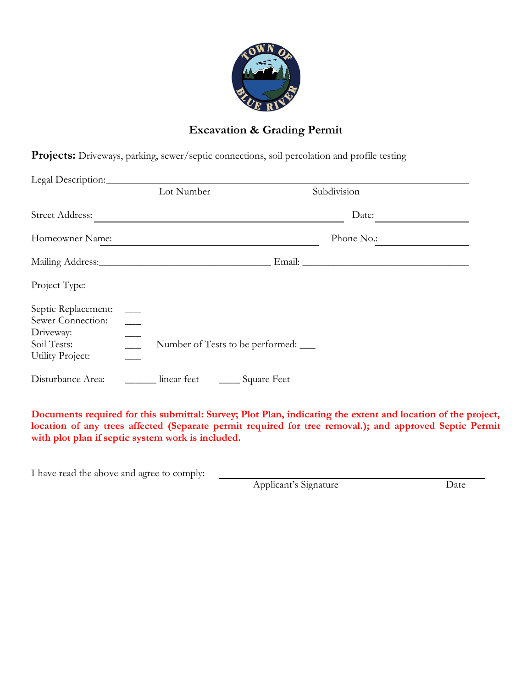

## **Excavation & Grading Permit**

**Projects:** Driveways, parking, sewer/septic connections, soil percolation and profile testing

| Legal Description:                                                                       |                                        |                 |  |
|------------------------------------------------------------------------------------------|----------------------------------------|-----------------|--|
|                                                                                          | Lot Number                             | Subdivision     |  |
| <b>Street Address:</b>                                                                   |                                        | Date:           |  |
| Homeowner Name:                                                                          |                                        | Phone No.:      |  |
|                                                                                          |                                        |                 |  |
| Project Type:                                                                            |                                        |                 |  |
| Septic Replacement:<br>Sewer Connection:<br>Driveway:<br>Soil Tests:<br>Utility Project: | Number of Tests to be performed: _____ |                 |  |
| Disturbance Area:                                                                        | linear feet                            | ___ Square Feet |  |

**Documents required for this submittal: Survey; Plot Plan, indicating the extent and location of the project,**  location of any trees affected (Separate permit required for tree removal.); and approved Septic Permit **with plot plan if septic system work is included.**

I have read the above and agree to comply:

Applicant's Signature Date